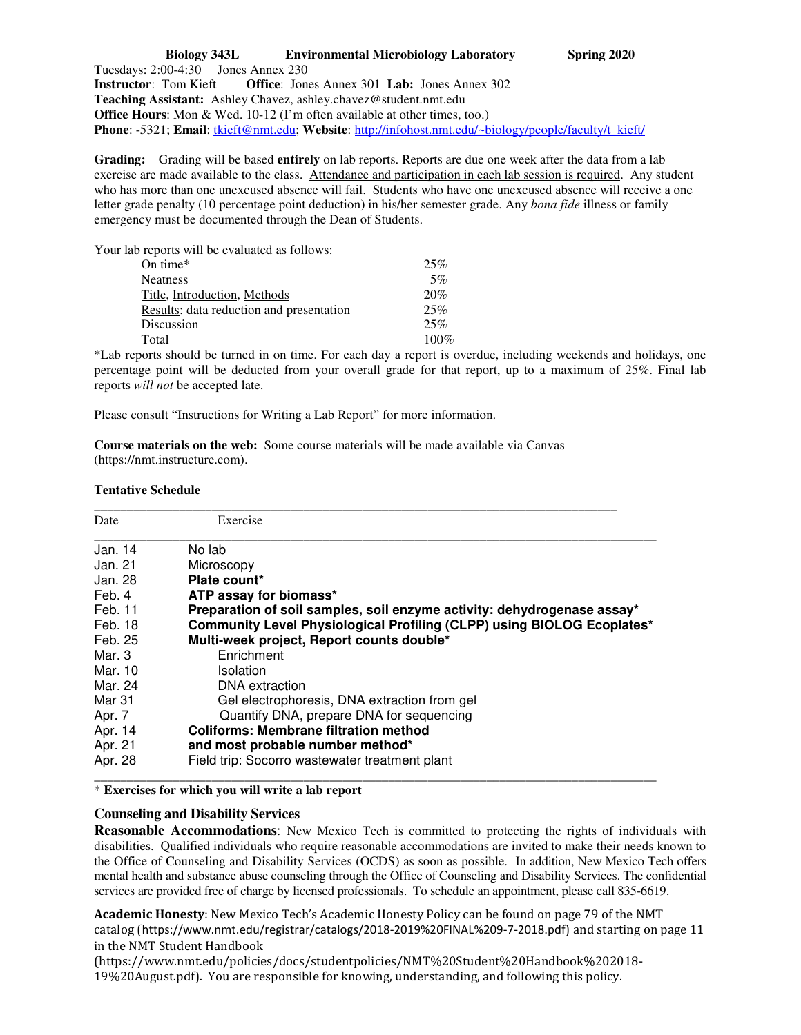**Biology 343L Environmental Microbiology Laboratory Spring 2020**  Tuesdays: 2:00-4:30 Jones Annex 230 **Instructor**: Tom Kieft **Office**: Jones Annex 301 **Lab:** Jones Annex 302 **Teaching Assistant:** Ashley Chavez, ashley.chavez@student.nmt.edu **Office Hours**: Mon & Wed. 10-12 (I'm often available at other times, too.) **Phone**: -5321; **Email**: tkieft@nmt.edu; **Website**: http://infohost.nmt.edu/~biology/people/faculty/t\_kieft/

**Grading:** Grading will be based **entirely** on lab reports. Reports are due one week after the data from a lab exercise are made available to the class. Attendance and participation in each lab session is required. Any student who has more than one unexcused absence will fail. Students who have one unexcused absence will receive a one letter grade penalty (10 percentage point deduction) in his/her semester grade. Any *bona fide* illness or family emergency must be documented through the Dean of Students.

Your lab reports will be evaluated as follows:

| On time*                                 | 25%     |
|------------------------------------------|---------|
| Neatness                                 | 5%      |
| Title, Introduction, Methods             | 20%     |
| Results: data reduction and presentation | 25%     |
| Discussion                               | 25%     |
| Total                                    | $100\%$ |
|                                          |         |

\*Lab reports should be turned in on time. For each day a report is overdue, including weekends and holidays, one percentage point will be deducted from your overall grade for that report, up to a maximum of 25%. Final lab reports *will not* be accepted late.

Please consult "Instructions for Writing a Lab Report" for more information.

**Course materials on the web:** Some course materials will be made available via Canvas (https://nmt.instructure.com).

## **Tentative Schedule**

| Date     | Exercise                                                                |
|----------|-------------------------------------------------------------------------|
| Jan. 14  | No lab                                                                  |
| Jan. 21  | Microscopy                                                              |
| Jan. 28  | Plate count*                                                            |
| Feb. 4   | ATP assay for biomass*                                                  |
| Feb. 11  | Preparation of soil samples, soil enzyme activity: dehydrogenase assay* |
| Feb. 18  | Community Level Physiological Profiling (CLPP) using BIOLOG Ecoplates*  |
| Feb. 25  | Multi-week project, Report counts double*                               |
| Mar. $3$ | Enrichment                                                              |
| Mar. 10  | Isolation                                                               |
| Mar. 24  | DNA extraction                                                          |
| Mar 31   | Gel electrophoresis, DNA extraction from gel                            |
| Apr. 7   | Quantify DNA, prepare DNA for sequencing                                |
| Apr. 14  | <b>Coliforms: Membrane filtration method</b>                            |
| Apr. 21  | and most probable number method*                                        |
| Apr. 28  | Field trip: Socorro wastewater treatment plant                          |

\* **Exercises for which you will write a lab report**

## **Counseling and Disability Services**

**Reasonable Accommodations**: New Mexico Tech is committed to protecting the rights of individuals with disabilities. Qualified individuals who require reasonable accommodations are invited to make their needs known to the Office of Counseling and Disability Services (OCDS) as soon as possible. In addition, New Mexico Tech offers mental health and substance abuse counseling through the Office of Counseling and Disability Services. The confidential services are provided free of charge by licensed professionals. To schedule an appointment, please call 835-6619.

**Academic Honesty**: New Mexico Tech's Academic Honesty Policy can be found on page 79 of the NMT catalog (https://www.nmt.edu/registrar/catalogs/2018-2019%20FINAL%209-7-2018.pdf) and starting on page 11 in the NMT Student Handbook

(https://www.nmt.edu/policies/docs/studentpolicies/NMT%20Student%20Handbook%202018- 19%20August.pdf). You are responsible for knowing, understanding, and following this policy.